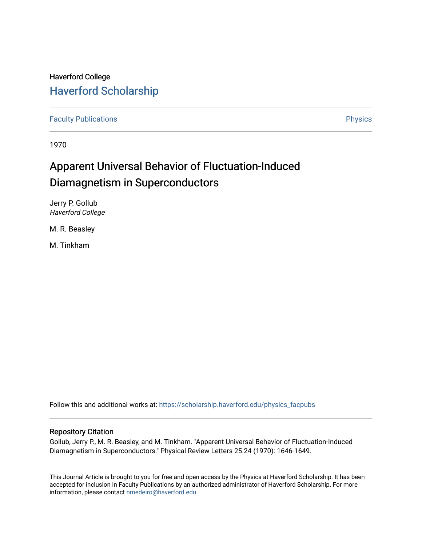## Haverford College [Haverford Scholarship](https://scholarship.haverford.edu/)

[Faculty Publications](https://scholarship.haverford.edu/physics_facpubs) **Physics** 

1970

# Apparent Universal Behavior of Fluctuation-Induced Diamagnetism in Superconductors

Jerry P. Gollub Haverford College

M. R. Beasley

M. Tinkham

Follow this and additional works at: [https://scholarship.haverford.edu/physics\\_facpubs](https://scholarship.haverford.edu/physics_facpubs?utm_source=scholarship.haverford.edu%2Fphysics_facpubs%2F247&utm_medium=PDF&utm_campaign=PDFCoverPages) 

### Repository Citation

Gollub, Jerry P., M. R. Beasley, and M. Tinkham. "Apparent Universal Behavior of Fluctuation-Induced Diamagnetism in Superconductors." Physical Review Letters 25.24 (1970): 1646-1649.

This Journal Article is brought to you for free and open access by the Physics at Haverford Scholarship. It has been accepted for inclusion in Faculty Publications by an authorized administrator of Haverford Scholarship. For more information, please contact [nmedeiro@haverford.edu.](mailto:nmedeiro@haverford.edu)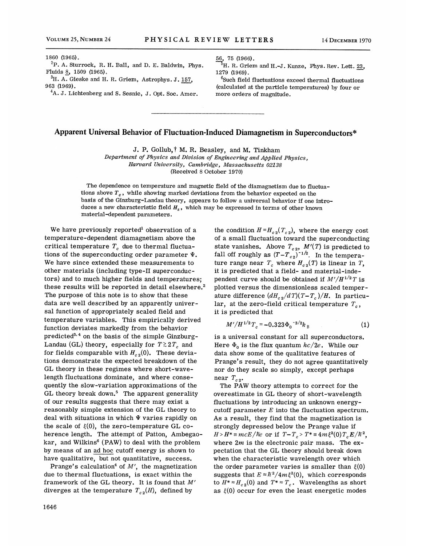${}^{2}P$ . A. Sturrock, R. H. Ball, and D. E. Baldwin, Phys. Fluids 8, 1509 (1965).

 ${}^{3}\text{H}$ . A. Gieske and H. R. Griem, Astrophys. J.  $157$ , 963 (1969).

 ${}^4A.$  J. Lichtenberg and S. Sesnic, J. Opt. Soc. Amer.

56, 75 (1966).

 ${}^{5}\text{H}$ . R. Griem and H.-J. Kunze, Phys. Rev. Lett. 23, 1279 (1969).

 $6$ Such field fluctuations exceed thermal fluctuations (calculated at the particle temperatures) by four or more orders of magnitude.

### Apparent Universal Behavior of Fluctuation-Induced Diamagnetism in Superconductors\*

J. P. Gollub, f M. R. Beasley, and M. Tinkham

Department of Physics and Division of Engineering and Applied Physics, Harvard University, Cambridge, Massachusetts 02138 {Received 8 October 1970)

The dependence on temperature and magnetic field of the diamagnetism due to fluctuations above  $T_c$ , while showing marked deviations from the behavior expected on the basis of the Ginzburg-Landau theory, appears to follow a universal behavior if one introduces a new characteristic field  $H_s$ , which may be expressed in terms of other known material-dependent parameters.

We have previously reported<sup>1</sup> observation of a temperature-dependent diamagnetism above the critical temperature  $T_c$  due to thermal fluctuations of the superconducting order parameter  $\Psi$ . We have since extended these measurements to other materials (including type-II superconductors) and to much higher fields and temperatures; these results will be reported in detail elsewhere.<sup>2</sup> The purpose of this note is to show that these data are well described by an apparently universal function of appropriately scaled field and temperature variables. This empirically derived function deviates markedly from the behavior predicted<sup>3,4</sup> on the basis of the simple Ginzburg-Landau (GL) theory, especially for  $T \gtrsim 2T_c$  and for fields comparable with  $H_{c2}(0)$ . These deviations demonstrate the expected breakdown of the GL theory in these regimes where short-wavelength fluctuations dominate, and where consequently the slow-variation approximations of the GL theory break down.<sup>5</sup> The apparent generality of our results suggests that there may exist a reasonably simple extension of the GL theory to deal with situations in which  $\Psi$  varies rapidly on the scale of  $\xi(0)$ , the zero-temperature GL coherence length. The attempt of Patton, Ambegaokar, and Wilkins<sup>6</sup> (PAW) to deal with the problem by means of an ad hoc cutoff energy is shown to have qualitative, but not quantitative, success.

Prange's calculation<sup>4</sup> of  $M'$ , the magnetization due to thermal fluctuations, is exact within the framework of the GL theory. It is found that M' diverges at the temperature  $T_{c2}(H)$ , defined by

the condition  $H=H_{c2}(T_{c2})$ , where the energy cost of a small fluctuation toward the superconducting state vanishes. Above  $T_{c2}$ ,  $M'(T)$  is predicted to fall off roughly as  $(T-T_{c2})^{-1/2}$ . In the temperature range near  $T_c$  where  $H_{c2}(T)$  is linear in T, it is predicted that a field- and material-independent curve should be obtained if  $M'/H^{1/2}T$  is plotted versus the dimensionless scaled temperature difference  $(dH_{c2}/dT)(T-T_c)/H$ . In particular, at the zero-field critical temperature  $T_c$ , it is predicted that

$$
M'/H^{1/2}T_c = -0.323 \Phi_0^{-3/2}k_B
$$
 (1)

is a universal constant for all superconductors. Here  $\Phi_0$  is the flux quantum  $hc/2e$ . While our data show some of the qualitative features of Prange's result, they do not agree quantitatively nor do they scale so simply, except perhaps near  $T_{c2}$ .

The PAW theory attempts to correct for the overestimate in GL theory of short-wavelength fluctuations by introducing an unknown energycutoff parameter  $E$  into the fluctuation spectrum. As a result, they find that the magnetization is strongly depressed below the Prange value if  $H > H^* \equiv mcE/\hbar e$  or if  $T-T_c > T^* \equiv 4m\xi^2(0)T_cE/\hbar^2$ , where  $2m$  is the electronic pair mass. The expectation that the GL theory should break down when the characteristic wavelength over which the order parameter varies is smaller than  $\xi(0)$ suggests that  $E \approx \hbar^2/4m\xi^2(0)$ , which corresponds to  $H^* \approx H_{c2}(0)$  and  $T^* \approx T_c$ . Wavelengths as short as  $\xi(0)$  occur for even the least energetic modes

<sup>1860</sup> (1965).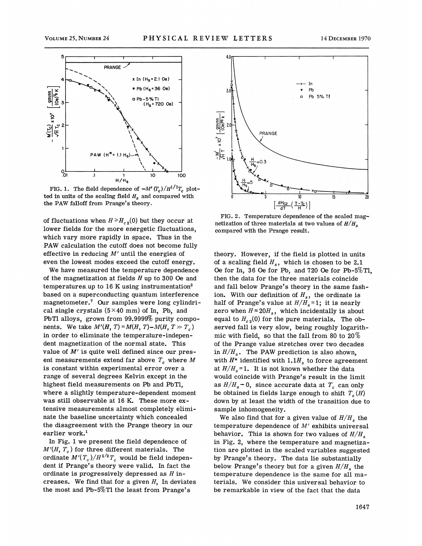

ted in units of the scaling field  $H_s$  and compared with the PAW falloff from Prange's theory.

of fluctuations when  $H \ge H_{c2}(0)$  but they occur at lower fields for the more energetic fluctuations. which vary more rapidly in space. Thus in the PAW calculation the cutoff does not become fully effective in reducing  $M'$  until the energies of even the lowest modes exceed the cutoff energy.

We have measured the temperature dependence of the magnetization at fields  $H$  up to 300 Oe and temperatures up to 16 K using instrumentation<sup>2</sup> based on a superconducting quantum interference magnetometer.<sup>7</sup> Our samples were long cylindrical single crystals  $(5\times40$  mm) of In, Pb, and PbTl alloys, grown from 99.9999% purity components. We take  $M'(H, T) = M(H, T) - M(H, T \gg T_c)$ in order to eliminate the temperature-independent magnetization of the normal state. This value of  $M'$  is quite well defined since our present measurements extend far above  $T_c$  where M is constant within experimental error over a range of several degrees Kelvin except in the highest field measurements on Pb and PbTl, where a slightly temperature-dependent moment was still observable at 16 K. These more extensive measurements almost completely eliminate the baseline uncertainty which concealed the disagreement with the Prange theory in our earlier work.<sup>1</sup>

In Fig. 1 we present the field dependence of  $M'(H, T_c)$  for three different materials. The ordinate  $M'(T_c)/H^{1/2}T_c$  would be field independent if Prange's theory mere valid. In fact the ordinate is progressively depressed as  $H$  increases. We find that for a given  $H$ , In deviates the most and Pb-5%Tl the least from Prange's



FIG. 2. Temperature dependence of the scaled magnetization of three materials at two values of  $H/H_s$ compared with the Prange result.

theory. However, if the field is plotted in units of a scaling field  $H_s$ , which is chosen to be 2.1 Oe for In, 36 Oe for Pb, and 720 Oe for Pb-5%Tl, then the data for the three materials coincide and fall belom Prange's theory in the same fashion. With our definition of  $H_s$ , the ordinate is half of Prange's value at  $H/H_s = 1$ ; it is nearly zero when  $H \approx 20H_s$ , which incidentally is about equal to  $H_{c2}(0)$  for the pure materials. The observed fall is very slow, being roughly logarithmic with field, so that the fall from 80 to  $20\%$ of the Prange value stretches over two decades in  $H/H_s$ . The PAW prediction is also shown, with  $H^*$  identified with  $1.1H_s$  to force agreement at  $H/H_s = 1$ . It is not known whether the data would coincide with Prange's result in the limit as  $H/H_s \rightarrow 0$ , since accurate data at  $T_c$  can only be obtained in fields large enough to shift  $T_c(H)$ down by at least the width of the transition due to sample inhomogeneity.

We also find that for a given value of  $H/H_s$  the temperature dependence of  $M'$  exhibits universal behavior. This is shown for two values of  $H/H_s$ in Fig. 2, where the temperature and magnetization are plotted in the scaled variables suggested by Prange's theory. The data lie substantially below Prange's theory but for a given  $H/H_s$ , the temperature dependence is the same for all materials. We consider this universal behavior to be remarkable in view of the fact that the data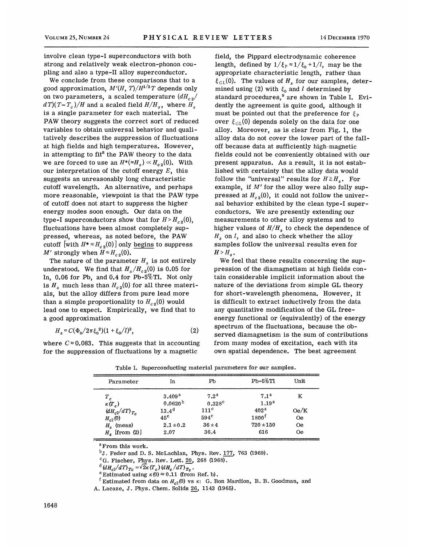involve clean type-I superconductors with both strong and relatively weak electron-phonon coupling and also a type-II alloy superconductor.

We conclude from these comparisons that to a good approximation,  $M'(H, T)/H^{1/2}T$  depends only on two parameters, a scaled temperature  $(dH_{c2}/$  $d(T)(T-T_c)/H$  and a scaled field  $H/H_s$ , where  $H_s$ is a single parameter for each material. The PAW theory suggests the correct sort of reduced variables to obtain universal behavior and qualitatively describes the suppression of fluctuations at high fields and high temperatures. However, in attempting to fit<sup>8</sup> the PAW theory to the data we are forced to use an  $H^*(\approx H_s) \ll H_{c2}(0)$ . With our interpretation of the cutoff energy  $E$ , this suggests an unreasonably long characteristic cutoff wavelength. An alternative, and perhaps more reasonable, viewpoint is that the PAW type of cutoff does not start to suppress the higher energy modes soon enough. Our data on the type-I superconductors show that for  $H > H_{c2}(0)$ , fluctuations have been almost completely suppressed, whereas, as noted before, the PAW cutoff [with  $H^* \approx H_{c2}(0)$ ] only begins to suppress M' strongly when  $H \approx H_{c2}(0)$ .

The nature of the parameter  $H_s$  is not entirely understood. We find that  $H_s/H_{c2}(0)$  is 0.05 for In, 0.06 for Pb, and 0.4 for Pb-5%Tl. Not only is  $H_s$  much less than  $H_{c2}(0)$  for all three materials, but the alloy differs from pure lead more than a simple proportionality to  $H_{c2}(0)$  would lead one to expect. Empirically, we find that to a good approximation

$$
H_s = C(\Phi_0/2\pi\xi_0^2)(1+\xi_0/l)^2,
$$
 (2)

where  $C \approx 0.083$ . This suggests that in accounting for the suppression of fluctuations by a magnetic

field, the Pippard electrodynamic coherence length, defined by  $1/\xi_p \approx 1/\xi_0 + 1/l$ , may be the appropriate characteristic length, rather than  $\xi_{GL}(0)$ . The values of  $H_s$  for our samples, determined using (2) with  $\xi_0$  and *l* determined by  $\frac{1}{2}$  and  $\frac{1}{2}$  and  $\frac{1}{2}$  determined by standard procedures,<sup>9</sup> are shown in Table I. Evidently the agreement is quite good, although it must be pointed out that the preference for  $\xi_{p}$ over  $\xi_{GL}(0)$  depends solely on the data for one alloy. Moreover, as is clear from Fig. 1, the alloy data do not cover the lower part of the falloff because data at sufficiently high-magnetic fields could not be conveniently obtained with our present apparatus. As a result, it is not established with certainty that the alloy data would follow the "universal" results for  $H \ge H_s$ . For example, if  $M'$  for the alloy were also fully suppressed at  $H_{c2}(0)$ , it could not follow the universal behavior exhibited by the clean type-I superconductors. We are presently extending our measurements to other alloy systems and to higher values of  $H/H_s$  to check the dependence of  $H_s$  on  $l$ , and also to check whether the alloy samples follow the universal results even for  $H > H_s$ .

We feel that these results concerning the suppression of the diamagnetism at high fields contain considerable implicit information about the nature of the deviations from simple GL theory for short-wavelength phenomena. However, it is difficult to extract inductively from the data any quantitative modification of the GL freeenergy functional or (equivalently) of the energy spectrum of the fluctuations, because the observed diamagnetism is the sum of contributions from many modes of excitation, each with its own spatial dependence. The best agreement

| Parameter            | In                  | P <sub>b</sub>   | $Pb-5\%T1$        | Unit      |
|----------------------|---------------------|------------------|-------------------|-----------|
| $T_c$                | 3.409 <sup>a</sup>  | 7.2 <sup>a</sup> | 7.1 <sup>a</sup>  | K         |
| $\kappa(T_c)$        | 0.0620 <sup>b</sup> | $0.328^{\rm c}$  | 1.19 <sup>a</sup> |           |
| $(dH_{c2}/dT)_{T_c}$ | $13.4^{d}$          | 111 <sup>c</sup> | 402 <sup>a</sup>  | 0e/K      |
| $H_{c2}(0)$          | $45^e$              | $594^\circ$      | 1800 <sup>f</sup> | <b>Oe</b> |
| $Hs$ (meas)          | $2.1 \pm 0.2$       | $36 \pm 4$       | $720 + 150$       | <b>Oe</b> |
| $H_s$ [from (2)]     | 2.07                | 36.4             | 616               | <b>Oe</b> |

Table I. Superconducting material parameters for our samples.

<sup>a</sup> From this work.

 $^{b}$ J. Feder and D. S. McLachlan, Phys. Rev. 177, 763 (1969).

 ${}^{\text{c}}$ G. Fischer, Phys. Rev. Lett.  $20$ , 268 (1968).

 $^{d}$  (dH<sub>c2</sub>/dT)<sub>Tc</sub> =  $\sqrt{2\kappa}$  (T<sub>c</sub>) (dH<sub>c</sub>/dT)<sub>Tc</sub>.

<sup>e</sup> Estimated using  $\kappa(0) \approx 0.11$  (from Ref. b).

<sup>f</sup> Estimated from data on  $H_{c2}(0)$  vs  $\kappa$ : G. Bon Mardion, B. B. Goodman, and A. Lacaze, J. Phys. Chem. Solids 26, <sup>1148</sup> (1965).